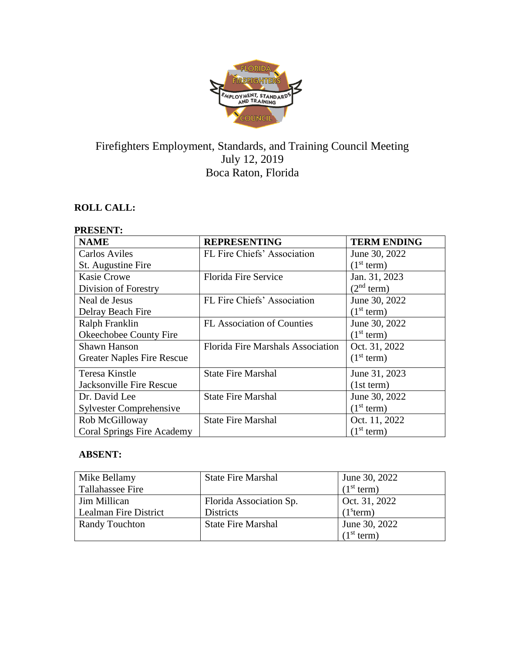

# Firefighters Employment, Standards, and Training Council Meeting July 12, 2019 Boca Raton, Florida

# **ROLL CALL:**

# **PRESENT:**

| <b>NAME</b>                       | <b>REPRESENTING</b>                      | <b>TERM ENDING</b>     |
|-----------------------------------|------------------------------------------|------------------------|
| <b>Carlos Aviles</b>              | FL Fire Chiefs' Association              | June 30, 2022          |
| St. Augustine Fire                |                                          | (1 <sup>st</sup> term) |
| <b>Kasie Crowe</b>                | <b>Florida Fire Service</b>              | Jan. 31, 2023          |
| Division of Forestry              |                                          | (2 <sup>nd</sup> term) |
| Neal de Jesus                     | FL Fire Chiefs' Association              | June 30, 2022          |
| Delray Beach Fire                 |                                          | (1 <sup>st</sup> term) |
| Ralph Franklin                    | FL Association of Counties               | June 30, 2022          |
| Okeechobee County Fire            |                                          | (1 <sup>st</sup> term) |
| <b>Shawn Hanson</b>               | <b>Florida Fire Marshals Association</b> | Oct. 31, 2022          |
| <b>Greater Naples Fire Rescue</b> |                                          | (1 <sup>st</sup> term) |
| Teresa Kinstle                    | <b>State Fire Marshal</b>                | June 31, 2023          |
| Jacksonville Fire Rescue          |                                          | (1st term)             |
| Dr. David Lee                     | <b>State Fire Marshal</b>                | June 30, 2022          |
| <b>Sylvester Comprehensive</b>    |                                          | (1 <sup>st</sup> term) |
| Rob McGilloway                    | <b>State Fire Marshal</b>                | Oct. 11, 2022          |
| Coral Springs Fire Academy        |                                          | (1 <sup>st</sup> term) |

# **ABSENT:**

| Mike Bellamy          | <b>State Fire Marshal</b> | June 30, 2022          |
|-----------------------|---------------------------|------------------------|
| Tallahassee Fire      |                           | (1 <sup>st</sup> term) |
| Jim Millican          | Florida Association Sp.   | Oct. 31, 2022          |
| Lealman Fire District | <b>Districts</b>          | (1 <sup>s</sup> term)  |
| <b>Randy Touchton</b> | <b>State Fire Marshal</b> | June 30, 2022          |
|                       |                           | (1 <sup>st</sup> term) |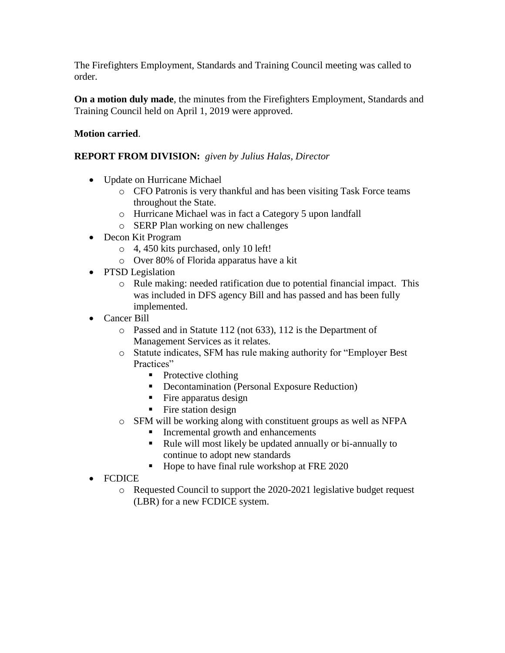The Firefighters Employment, Standards and Training Council meeting was called to order.

**On a motion duly made**, the minutes from the Firefighters Employment, Standards and Training Council held on April 1, 2019 were approved.

# **Motion carried**.

# **REPORT FROM DIVISION:** *given by Julius Halas, Director*

- Update on Hurricane Michael
	- o CFO Patronis is very thankful and has been visiting Task Force teams throughout the State.
	- o Hurricane Michael was in fact a Category 5 upon landfall
	- o SERP Plan working on new challenges
- Decon Kit Program
	- o 4, 450 kits purchased, only 10 left!
	- o Over 80% of Florida apparatus have a kit
- PTSD Legislation
	- o Rule making: needed ratification due to potential financial impact. This was included in DFS agency Bill and has passed and has been fully implemented.
- Cancer Bill
	- o Passed and in Statute 112 (not 633), 112 is the Department of Management Services as it relates.
	- o Statute indicates, SFM has rule making authority for "Employer Best Practices"
		- Protective clothing
		- Decontamination (Personal Exposure Reduction)
		- $\blacksquare$  Fire apparatus design
		- Fire station design
	- o SFM will be working along with constituent groups as well as NFPA
		- Incremental growth and enhancements
		- Rule will most likely be updated annually or bi-annually to continue to adopt new standards
		- Hope to have final rule workshop at FRE 2020
- FCDICE
	- o Requested Council to support the 2020-2021 legislative budget request (LBR) for a new FCDICE system.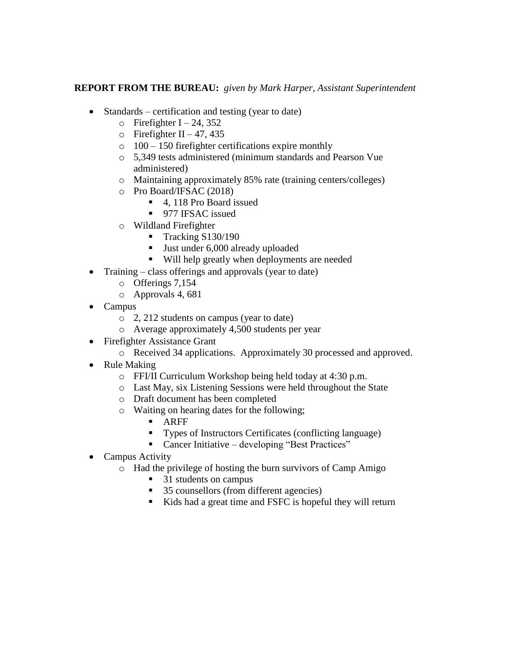# **REPORT FROM THE BUREAU:** *given by Mark Harper, Assistant Superintendent*

- Standards certification and testing (year to date)
	- $\circ$  Firefighter I 24, 352
	- $\circ$  Firefighter II 47, 435
	- $\circ$  100 150 firefighter certifications expire monthly
	- o 5,349 tests administered (minimum standards and Pearson Vue administered)
	- o Maintaining approximately 85% rate (training centers/colleges)
	- o Pro Board/IFSAC (2018)
		- 4, 118 Pro Board issued
		- 977 IFSAC issued
	- o Wildland Firefighter
		- Tracking S130/190
		- Just under 6,000 already uploaded
		- Will help greatly when deployments are needed
- Training class offerings and approvals (year to date)
	- o Offerings 7,154
	- o Approvals 4, 681
- Campus
	- o 2, 212 students on campus (year to date)
	- o Average approximately 4,500 students per year
- Firefighter Assistance Grant
	- o Received 34 applications. Approximately 30 processed and approved.
- Rule Making
	- o FFI/II Curriculum Workshop being held today at 4:30 p.m.
	- o Last May, six Listening Sessions were held throughout the State
	- o Draft document has been completed
	- o Waiting on hearing dates for the following;
		- ARFF
		- Types of Instructors Certificates (conflicting language)
		- Cancer Initiative developing "Best Practices"
- Campus Activity
	- o Had the privilege of hosting the burn survivors of Camp Amigo
		- 31 students on campus
		- 35 counsellors (from different agencies)
		- Kids had a great time and FSFC is hopeful they will return